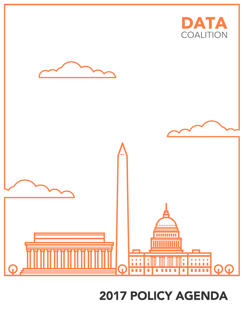## **2017 POLICY AGENDA**

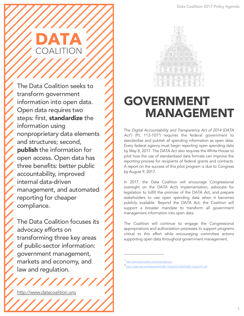

The Data Coalition seeks to transform government information into open data. Open data requires two steps: first, standardize the information using nonproprietary data elements and structures; second, publish the information for open access. Open data has three benefits: better public accountability, improved internal data-driven management, and automated reporting for cheaper compliance.

The Data Coalition focuses its advocacy efforts on transforming three key areas of public-sector information: government management, markets and economy, and law and regulation.

http://www.datacoalition.org



## GOVERNMENT MANAGEMENT

The *Digital Accountability and Transparency Act of 2014* (*DATA*  Act<sup>1</sup>) (PL 113-101<sup>2</sup>) requires the federal government to standardize and publish all spending information as open data. Every federal agency must begin reporting open spending data by May 8, 2017. The DATA Act also requires the White House to pilot how the use of standardized data formats can improve the reporting process for recipients of federal grants and contracts. A report on the success of this pilot program is due to Congress by August 9, 2017.

In 2017, the Data Coalition will encourage Congressional oversight on the DATA Act's implementation, advocate for legislation to fulfill the promise of the DATA Act, and prepare stakeholders to use open spending data when it becomes publicly available. Beyond the DATA Act, the Coalition will support a broader mandate to transform all government management information into open data.

The Coalition will continue to engage the Congressional appropriations and authorization processes to support programs critical to this effort while encouraging committee actions supporting open data throughout government management.

1 http://www.datacoalition.org/issues/data-act/

<sup>2</sup> https://www.gpo.gov/fdsys/pkg/PLAW-113publ101/pdf/PLAW-113publ101.pdf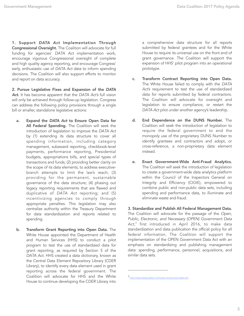1. Support *DATA Act* Implementation Through Congressional Oversight. The Coalition will advocate for full funding for agencies' *DATA Act* implementation work, encourage vigorous Congressional oversight of complete and high quality agency reporting, and encourage Congress' early, enthusiastic use of *DATA Act* data to inform spending decisions. The Coalition will also support efforts to monitor and report on data accuracy.

2. Pursue Legislative Fixes and Expansion of the *DATA Act*. It has become apparent that the *DATA Act's* full vision will only be achieved through follow-up legislation. Congress can address the following policy provisions through a single bill or smaller, standalone legislative actions:

- a. Expand the *DATA Act* to Ensure Open Data for All Federal Spending. The Coalition will seek the introduction of legislation to improve the *DATA Act* by (1) extending its data structure to cover all spending information, including category management, subaward reporting, checkbook-level payments, performance reporting, Presidential budgets, appropriations bills, and special types of transactions and funds; (2) providing better clarity on the scope of its data elements, to address executivebranch attempts to limit the law's reach; (3) providing for the permanent, sustainable governance of the data structure; (4) phasing out legacy reporting requirements that are flawed and duplicative of *DATA Act* reporting; and (5) incentivizing agencies to comply through appropriate penalties. This legislation may also centralize authority within the Treasury Department for data standardization and reports related to spending.
- b. Transform Grant Reporting into Open Data. The White House appointed the Department of Health and Human Services (HHS) to conduct a pilot program to test the use of standardized data for grant reporting, as required by Section 5 of the *DATA Act*. HHS created a data dictionary, known as the Central Data Element Repository Library (CDER Library), to identify every data element used in grant reporting across the federal government. The Coalition will advocate for HHS and the White House to continue developing the CDER Library into

 a comprehensive data structure for all reports submitted by federal grantees and for the White House to require its universal use on the front end of grant governance. The Coalition will support the expansion of HHS' pilot program into an operational prototype.

- c. Transform Contract Reporting into Open Data. The White House failed to comply with the *DATA Act's* requirement to test the use of standardized data for reports submitted by federal contractors. The Coalition will advocate for oversight and legislation to ensure compliance, or restart the *DATA Act* pilot under another agency's leadership.
- d. End Dependence on the DUNS Number. The Coalition will seek the introduction of legislation to require the federal government to end the monopoly use of the proprietary DUNS Number to identify grantees and contractors and adopt, or cross-reference, a non-proprietary data element instead.
- e. Enact Government-Wide Anti-Fraud Analytics. The Coalition will seek the introduction of legislation to create a government-wide data analytics platform within the Council of the Inspectors General on Integrity and Efficiency (CIGIE), empowered to combine public and non-public data sets, including spending and performance data, to illuminate and eliminate waste and fraud.

3. Standardize and Publish All Federal Management Data. The Coalition will advocate for the passage of the *Open, Public, Electronic, and Necessary (OPEN) Government Data Act*, 3 first introduced in April 2016, to make data standardization and data publication the official policy for all federal information. The Coalition will support the implementation of the OPEN Government Data Act with an emphasis on standardizing and publishing management data: spending, performance, personnel, acquisitions, and similar data sets.

<sup>3</sup> http://www.datacoalition.org/open-government-data-act/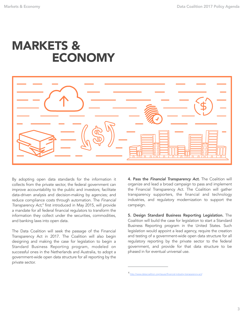## MARKETS & ECONOMY



By adopting open data standards for the information it collects from the private sector, the federal government can improve accountability to the public and investors; facilitate data-driven analysis and decision-making by agencies; and reduce compliance costs through automation. The *Financial Transparency Act*, 4 first introduced in May 2015, will provide a mandate for all federal financial regulators to transform the information they collect under the securities, commodities, and banking laws into open data.

The Data Coalition will seek the passage of the Financial Transparency Act in 2017. The Coalition will also begin designing and making the case for legislation to begin a Standard Business Reporting program, modeled on successful ones in the Netherlands and Australia, to adopt a government-wide open data structure for all reporting by the private sector.

4. Pass the *Financial Transparency Act*. The Coalition will organize and lead a broad campaign to pass and implement the Financial Transparency Act. The Coalition will gather transparency supporters, the financial and technology industries, and regulatory modernization to support the campaign.

5. Design Standard Business Reporting Legislation. The Coalition will build the case for legislation to start a Standard Business Reporting program in the United States. Such legislation would appoint a lead agency, require the creation and testing of a government-wide open data structure for all regulatory reporting by the private sector to the federal government, and provide for that data structure to be phased in for eventual universal use.

<sup>4</sup> http://www.datacoalition.org/issues/financial-industry-transparency-act/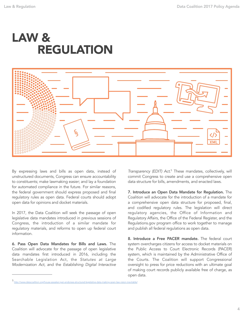



By expressing laws and bills as open data, instead of unstructured documents, Congress can ensure accountability to constituents; make lawmaking easier; and lay a foundation for automated compliance in the future. For similar reasons, the federal government should express proposed and final regulatory rules as open data. Federal courts should adopt open data for opinions and docket materials.

In 2017, the Data Coalition will seek the passage of open legislative data mandates introduced in previous sessions of Congress, the introduction of a similar mandate for regulatory materials, and reforms to open up federal court information.

6. Pass Open Data Mandates for Bills and Laws. The Coalition will advocate for the passage of open legislative data mandates first introduced in 2016, including the Searchable Legislation Act, the *Statutes at Large Modernization Act*, and the *Establishing Digital Interactive* 

*Transparency (EDIT) Act*. 5 These mandates, collectively, will commit Congress to create and use a comprehensive open data structure for bills, amendments, and enacted laws.

7. Introduce an Open Data Mandate for Regulation. The Coalition will advocate for the introduction of a mandate for a comprehensive open data structure for proposed, final, and codified regulatory rules. The legislation will direct regulatory agencies, the Office of Information and Regulatory Affairs, the Office of the Federal Register, and the Regulations.gov program office to work together to manage and publish all federal regulations as open data.

8. Introduce a Free PACER mandate. The federal court system overcharges citizens for access to docket materials on the Public Access to Court Electronic Records (PACER) system, which is maintained by the Administrative Office of the Courts. The Coalition will support Congressional oversight to press for price reductions with an ultimate goal of making court records publicly available free of charge, as open data.

<sup>5&</sup>lt;br>http://www.datacoalition.org/house-speaker-ryan-endorses-structured-legislative-data-making-open-law-vision-in